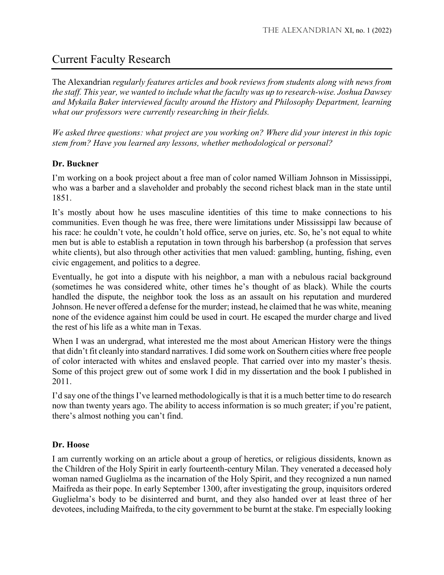# Current Faculty Research

The Alexandrian *regularly features articles and book reviews from students along with news from the staff. This year, we wanted to include what the faculty was up to research-wise. Joshua Dawsey and Mykaila Baker interviewed faculty around the History and Philosophy Department, learning what our professors were currently researching in their fields.* 

*We asked three questions: what project are you working on? Where did your interest in this topic stem from? Have you learned any lessons, whether methodological or personal?*

# **Dr. Buckner**

I'm working on a book project about a free man of color named William Johnson in Mississippi, who was a barber and a slaveholder and probably the second richest black man in the state until 1851.

It's mostly about how he uses masculine identities of this time to make connections to his communities. Even though he was free, there were limitations under Mississippi law because of his race: he couldn't vote, he couldn't hold office, serve on juries, etc. So, he's not equal to white men but is able to establish a reputation in town through his barbershop (a profession that serves white clients), but also through other activities that men valued: gambling, hunting, fishing, even civic engagement, and politics to a degree.

Eventually, he got into a dispute with his neighbor, a man with a nebulous racial background (sometimes he was considered white, other times he's thought of as black). While the courts handled the dispute, the neighbor took the loss as an assault on his reputation and murdered Johnson. He never offered a defense for the murder; instead, he claimed that he was white, meaning none of the evidence against him could be used in court. He escaped the murder charge and lived the rest of his life as a white man in Texas.

When I was an undergrad, what interested me the most about American History were the things that didn't fit cleanly into standard narratives. I did some work on Southern cities where free people of color interacted with whites and enslaved people. That carried over into my master's thesis. Some of this project grew out of some work I did in my dissertation and the book I published in 2011.

I'd say one of the things I've learned methodologically is that it is a much better time to do research now than twenty years ago. The ability to access information is so much greater; if you're patient, there's almost nothing you can't find.

# **Dr. Hoose**

I am currently working on an article about a group of heretics, or religious dissidents, known as the Children of the Holy Spirit in early fourteenth-century Milan. They venerated a deceased holy woman named Guglielma as the incarnation of the Holy Spirit, and they recognized a nun named Maifreda as their pope. In early September 1300, after investigating the group, inquisitors ordered Guglielma's body to be disinterred and burnt, and they also handed over at least three of her devotees, including Maifreda, to the city government to be burnt at the stake. I'm especially looking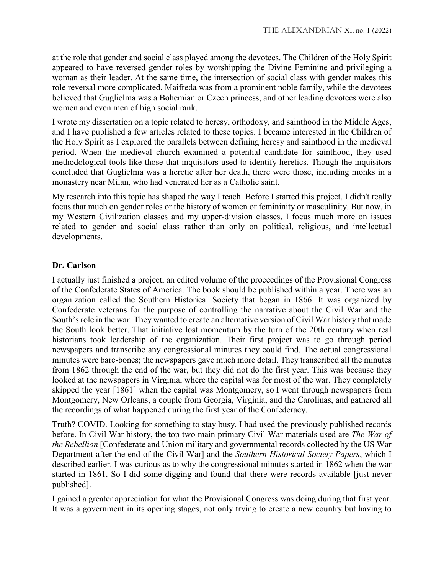at the role that gender and social class played among the devotees. The Children of the Holy Spirit appeared to have reversed gender roles by worshipping the Divine Feminine and privileging a woman as their leader. At the same time, the intersection of social class with gender makes this role reversal more complicated. Maifreda was from a prominent noble family, while the devotees believed that Guglielma was a Bohemian or Czech princess, and other leading devotees were also women and even men of high social rank.

I wrote my dissertation on a topic related to heresy, orthodoxy, and sainthood in the Middle Ages, and I have published a few articles related to these topics. I became interested in the Children of the Holy Spirit as I explored the parallels between defining heresy and sainthood in the medieval period. When the medieval church examined a potential candidate for sainthood, they used methodological tools like those that inquisitors used to identify heretics. Though the inquisitors concluded that Guglielma was a heretic after her death, there were those, including monks in a monastery near Milan, who had venerated her as a Catholic saint.

My research into this topic has shaped the way I teach. Before I started this project, I didn't really focus that much on gender roles or the history of women or femininity or masculinity. But now, in my Western Civilization classes and my upper-division classes, I focus much more on issues related to gender and social class rather than only on political, religious, and intellectual developments.

## **Dr. Carlson**

I actually just finished a project, an edited volume of the proceedings of the Provisional Congress of the Confederate States of America. The book should be published within a year. There was an organization called the Southern Historical Society that began in 1866. It was organized by Confederate veterans for the purpose of controlling the narrative about the Civil War and the South's role in the war. They wanted to create an alternative version of Civil War history that made the South look better. That initiative lost momentum by the turn of the 20th century when real historians took leadership of the organization. Their first project was to go through period newspapers and transcribe any congressional minutes they could find. The actual congressional minutes were bare-bones; the newspapers gave much more detail. They transcribed all the minutes from 1862 through the end of the war, but they did not do the first year. This was because they looked at the newspapers in Virginia, where the capital was for most of the war. They completely skipped the year [1861] when the capital was Montgomery, so I went through newspapers from Montgomery, New Orleans, a couple from Georgia, Virginia, and the Carolinas, and gathered all the recordings of what happened during the first year of the Confederacy.

Truth? COVID. Looking for something to stay busy. I had used the previously published records before. In Civil War history, the top two main primary Civil War materials used are *The War of the Rebellion* [Confederate and Union military and governmental records collected by the US War Department after the end of the Civil War] and the *Southern Historical Society Papers*, which I described earlier. I was curious as to why the congressional minutes started in 1862 when the war started in 1861. So I did some digging and found that there were records available [just never published].

I gained a greater appreciation for what the Provisional Congress was doing during that first year. It was a government in its opening stages, not only trying to create a new country but having to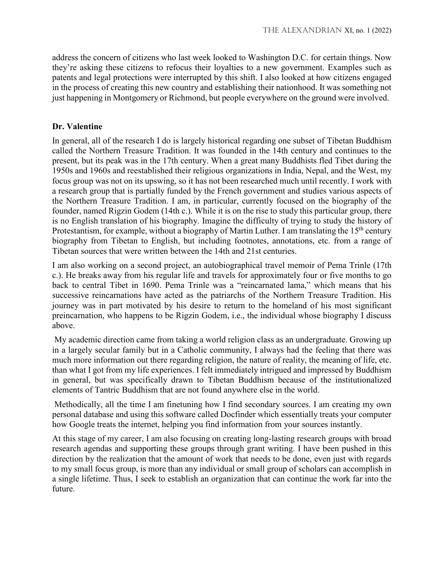address the concern of citizens who last week looked to Washington D.C. for certain things. Now they're asking these citizens to refocus their loyalties to a new government. Examples such as patents and legal protections were interrupted by this shift. I also looked at how citizens engaged in the process of creating this new country and establishing their nationhood. It was something not just happening in Montgomery or Richmond, but people everywhere on the ground were involved.

## **Dr. Valentine**

In general, all of the research I do is largely historical regarding one subset of Tibetan Buddhism called the Northern Treasure Tradition. It was founded in the 14th century and continues to the present, but its peak was in the 17th century. When a great many Buddhists fled Tibet during the 1950s and 1960s and reestablished their religious organizations in India, Nepal, and the West, my focus group was not on its upswing, so it has not been researched much until recently. I work with a research group that is partially funded by the French government and studies various aspects of the Northern Treasure Tradition. I am, in particular, currently focused on the biography of the founder, named Rigzin Godem (14th c.). While it is on the rise to study this particular group, there is no English translation of his biography. Imagine the difficulty of trying to study the history of Protestantism, for example, without a biography of Martin Luther. I am translating the  $15<sup>th</sup>$  century biography from Tibetan to English, but including footnotes, annotations, etc. from a range of Tibetan sources that were written between the 14th and 21st centuries.

I am also working on a second project, an autobiographical travel memoir of Pema Trinle (17th c.). He breaks away from his regular life and travels for approximately four or five months to go back to central Tibet in 1690. Pema Trinle was a "reincarnated lama," which means that his successive reincarnations have acted as the patriarchs of the Northern Treasure Tradition. His journey was in part motivated by his desire to return to the homeland of his most significant preincarnation, who happens to be Rigzin Godem, i.e., the individual whose biography I discuss above.

My academic direction came from taking a world religion class as an undergraduate. Growing up in a largely secular family but in a Catholic community, I always had the feeling that there was much more information out there regarding religion, the nature of reality, the meaning of life, etc. than what I got from my life experiences. I felt immediately intrigued and impressed by Buddhism in general, but was specifically drawn to Tibetan Buddhism because of the institutionalized elements of Tantric Buddhism that are not found anywhere else in the world.

Methodically, all the time I am finetuning how I find secondary sources. I am creating my own personal database and using this software called Docfinder which essentially treats your computer how Google treats the internet, helping you find information from your sources instantly.

At this stage of my career, I am also focusing on creating long-lasting research groups with broad research agendas and supporting these groups through grant writing. I have been pushed in this direction by the realization that the amount of work that needs to be done, even just with regards to my small focus group, is more than any individual or small group of scholars can accomplish in a single lifetime. Thus, I seek to establish an organization that can continue the work far into the future.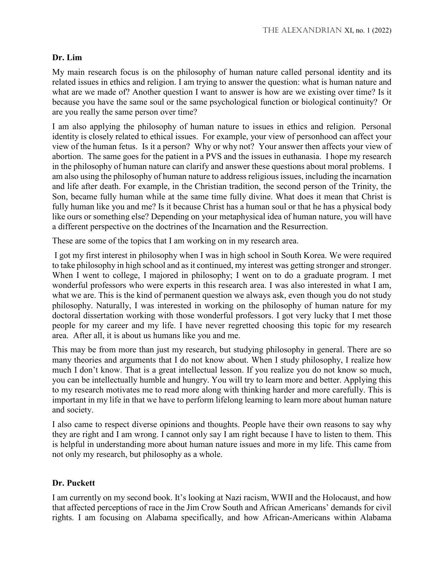# **Dr. Lim**

My main research focus is on the philosophy of human nature called personal identity and its related issues in ethics and religion. I am trying to answer the question: what is human nature and what are we made of? Another question I want to answer is how are we existing over time? Is it because you have the same soul or the same psychological function or biological continuity? Or are you really the same person over time?

I am also applying the philosophy of human nature to issues in ethics and religion. Personal identity is closely related to ethical issues. For example, your view of personhood can affect your view of the human fetus. Is it a person? Why or why not? Your answer then affects your view of abortion. The same goes for the patient in a PVS and the issues in euthanasia. I hope my research in the philosophy of human nature can clarify and answer these questions about moral problems. I am also using the philosophy of human nature to address religious issues, including the incarnation and life after death. For example, in the Christian tradition, the second person of the Trinity, the Son, became fully human while at the same time fully divine. What does it mean that Christ is fully human like you and me? Is it because Christ has a human soul or that he has a physical body like ours or something else? Depending on your metaphysical idea of human nature, you will have a different perspective on the doctrines of the Incarnation and the Resurrection.

These are some of the topics that I am working on in my research area.

I got my first interest in philosophy when I was in high school in South Korea. We were required to take philosophy in high school and as it continued, my interest was getting stronger and stronger. When I went to college, I majored in philosophy; I went on to do a graduate program. I met wonderful professors who were experts in this research area. I was also interested in what I am, what we are. This is the kind of permanent question we always ask, even though you do not study philosophy. Naturally, I was interested in working on the philosophy of human nature for my doctoral dissertation working with those wonderful professors. I got very lucky that I met those people for my career and my life. I have never regretted choosing this topic for my research area. After all, it is about us humans like you and me.

This may be from more than just my research, but studying philosophy in general. There are so many theories and arguments that I do not know about. When I study philosophy, I realize how much I don't know. That is a great intellectual lesson. If you realize you do not know so much, you can be intellectually humble and hungry. You will try to learn more and better. Applying this to my research motivates me to read more along with thinking harder and more carefully. This is important in my life in that we have to perform lifelong learning to learn more about human nature and society.

I also came to respect diverse opinions and thoughts. People have their own reasons to say why they are right and I am wrong. I cannot only say I am right because I have to listen to them. This is helpful in understanding more about human nature issues and more in my life. This came from not only my research, but philosophy as a whole.

#### **Dr. Puckett**

I am currently on my second book. It's looking at Nazi racism, WWII and the Holocaust, and how that affected perceptions of race in the Jim Crow South and African Americans' demands for civil rights. I am focusing on Alabama specifically, and how African-Americans within Alabama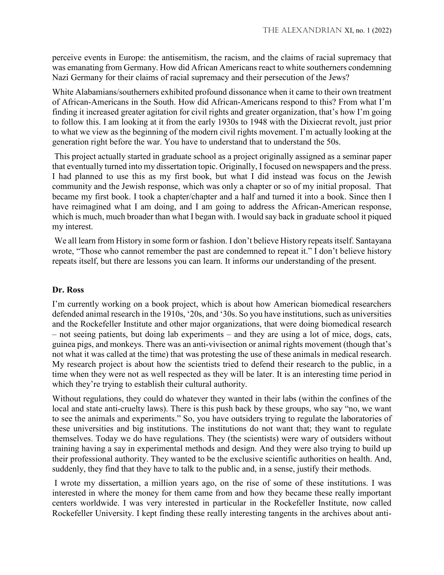perceive events in Europe: the antisemitism, the racism, and the claims of racial supremacy that was emanating from Germany. How did African Americans react to white southerners condemning Nazi Germany for their claims of racial supremacy and their persecution of the Jews?

White Alabamians/southerners exhibited profound dissonance when it came to their own treatment of African-Americans in the South. How did African-Americans respond to this? From what I'm finding it increased greater agitation for civil rights and greater organization, that's how I'm going to follow this. I am looking at it from the early 1930s to 1948 with the Dixiecrat revolt, just prior to what we view as the beginning of the modern civil rights movement. I'm actually looking at the generation right before the war. You have to understand that to understand the 50s.

This project actually started in graduate school as a project originally assigned as a seminar paper that eventually turned into my dissertation topic. Originally, I focused on newspapers and the press. I had planned to use this as my first book, but what I did instead was focus on the Jewish community and the Jewish response, which was only a chapter or so of my initial proposal. That became my first book. I took a chapter/chapter and a half and turned it into a book. Since then I have reimagined what I am doing, and I am going to address the African-American response, which is much, much broader than what I began with. I would say back in graduate school it piqued my interest.

We all learn from History in some form or fashion. I don't believe History repeats itself. Santayana wrote, "Those who cannot remember the past are condemned to repeat it." I don't believe history repeats itself, but there are lessons you can learn. It informs our understanding of the present.

#### **Dr. Ross**

I'm currently working on a book project, which is about how American biomedical researchers defended animal research in the 1910s, '20s, and '30s. So you have institutions, such as universities and the Rockefeller Institute and other major organizations, that were doing biomedical research – not seeing patients, but doing lab experiments – and they are using a lot of mice, dogs, cats, guinea pigs, and monkeys. There was an anti-vivisection or animal rights movement (though that's not what it was called at the time) that was protesting the use of these animals in medical research. My research project is about how the scientists tried to defend their research to the public, in a time when they were not as well respected as they will be later. It is an interesting time period in which they're trying to establish their cultural authority.

Without regulations, they could do whatever they wanted in their labs (within the confines of the local and state anti-cruelty laws). There is this push back by these groups, who say "no, we want to see the animals and experiments." So, you have outsiders trying to regulate the laboratories of these universities and big institutions. The institutions do not want that; they want to regulate themselves. Today we do have regulations. They (the scientists) were wary of outsiders without training having a say in experimental methods and design. And they were also trying to build up their professional authority. They wanted to be the exclusive scientific authorities on health. And, suddenly, they find that they have to talk to the public and, in a sense, justify their methods.

I wrote my dissertation, a million years ago, on the rise of some of these institutions. I was interested in where the money for them came from and how they became these really important centers worldwide. I was very interested in particular in the Rockefeller Institute, now called Rockefeller University. I kept finding these really interesting tangents in the archives about anti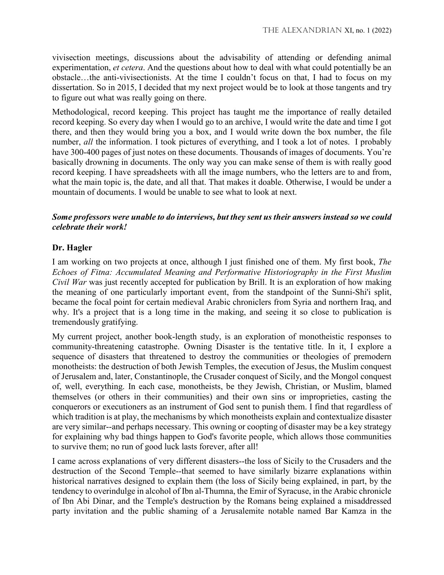vivisection meetings, discussions about the advisability of attending or defending animal experimentation, *et cetera*. And the questions about how to deal with what could potentially be an obstacle…the anti-vivisectionists. At the time I couldn't focus on that, I had to focus on my dissertation. So in 2015, I decided that my next project would be to look at those tangents and try to figure out what was really going on there.

Methodological, record keeping. This project has taught me the importance of really detailed record keeping. So every day when I would go to an archive, I would write the date and time I got there, and then they would bring you a box, and I would write down the box number, the file number, *all* the information. I took pictures of everything, and I took a lot of notes. I probably have 300-400 pages of just notes on these documents. Thousands of images of documents. You're basically drowning in documents. The only way you can make sense of them is with really good record keeping. I have spreadsheets with all the image numbers, who the letters are to and from, what the main topic is, the date, and all that. That makes it doable. Otherwise, I would be under a mountain of documents. I would be unable to see what to look at next.

#### *Some professors were unable to do interviews, but they sent us their answers instead so we could celebrate their work!*

## **Dr. Hagler**

I am working on two projects at once, although I just finished one of them. My first book, *The Echoes of Fitna: Accumulated Meaning and Performative Historiography in the First Muslim Civil War* was just recently accepted for publication by Brill. It is an exploration of how making the meaning of one particularly important event, from the standpoint of the Sunni-Shi'i split, became the focal point for certain medieval Arabic chroniclers from Syria and northern Iraq, and why. It's a project that is a long time in the making, and seeing it so close to publication is tremendously gratifying.

My current project, another book-length study, is an exploration of monotheistic responses to community-threatening catastrophe. Owning Disaster is the tentative title. In it, I explore a sequence of disasters that threatened to destroy the communities or theologies of premodern monotheists: the destruction of both Jewish Temples, the execution of Jesus, the Muslim conquest of Jerusalem and, later, Constantinople, the Crusader conquest of Sicily, and the Mongol conquest of, well, everything. In each case, monotheists, be they Jewish, Christian, or Muslim, blamed themselves (or others in their communities) and their own sins or improprieties, casting the conquerors or executioners as an instrument of God sent to punish them. I find that regardless of which tradition is at play, the mechanisms by which monotheists explain and contextualize disaster are very similar--and perhaps necessary. This owning or coopting of disaster may be a key strategy for explaining why bad things happen to God's favorite people, which allows those communities to survive them; no run of good luck lasts forever, after all!

I came across explanations of very different disasters--the loss of Sicily to the Crusaders and the destruction of the Second Temple--that seemed to have similarly bizarre explanations within historical narratives designed to explain them (the loss of Sicily being explained, in part, by the tendency to overindulge in alcohol of Ibn al-Thumna, the Emir of Syracuse, in the Arabic chronicle of Ibn Abi Dinar, and the Temple's destruction by the Romans being explained a misaddressed party invitation and the public shaming of a Jerusalemite notable named Bar Kamza in the